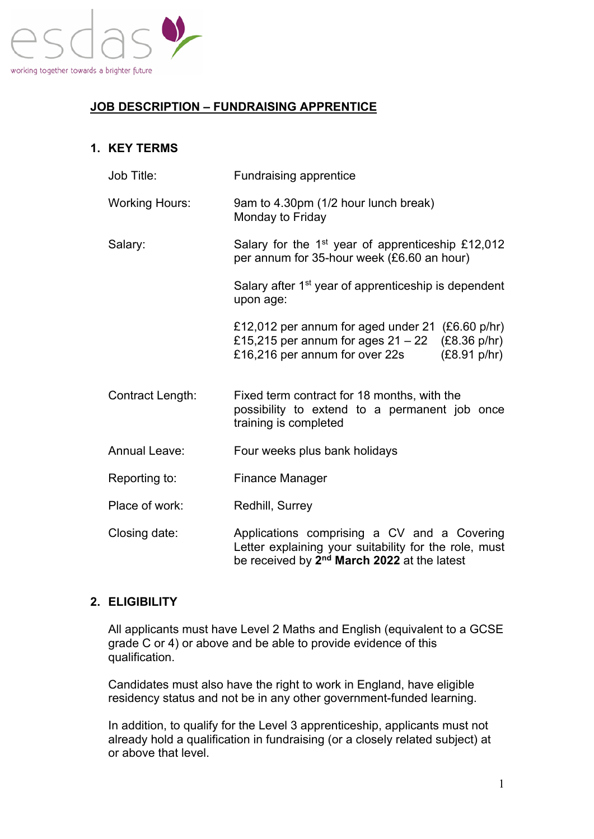

# **JOB DESCRIPTION – FUNDRAISING APPRENTICE**

# **1. KEY TERMS**

| Job Title:            | <b>Fundraising apprentice</b>                                                                                                                                   |
|-----------------------|-----------------------------------------------------------------------------------------------------------------------------------------------------------------|
| <b>Working Hours:</b> | 9am to 4.30pm (1/2 hour lunch break)<br>Monday to Friday                                                                                                        |
| Salary:               | Salary for the 1 <sup>st</sup> year of apprenticeship £12,012<br>per annum for 35-hour week (£6.60 an hour)                                                     |
|                       | Salary after 1 <sup>st</sup> year of apprenticeship is dependent<br>upon age:                                                                                   |
|                       | £12,012 per annum for aged under 21 $(£6.60 p/hr)$<br>£15,215 per annum for ages $21 - 22$ (£8.36 p/hr)<br>£16,216 per annum for over 22s<br>(E8.91 p/hr)       |
| Contract Length:      | Fixed term contract for 18 months, with the<br>possibility to extend to a permanent job once<br>training is completed                                           |
| <b>Annual Leave:</b>  | Four weeks plus bank holidays                                                                                                                                   |
| Reporting to:         | <b>Finance Manager</b>                                                                                                                                          |
| Place of work:        | Redhill, Surrey                                                                                                                                                 |
| Closing date:         | Applications comprising a CV and a Covering<br>Letter explaining your suitability for the role, must<br>be received by 2 <sup>nd</sup> March 2022 at the latest |

## **2. ELIGIBILITY**

All applicants must have Level 2 Maths and English (equivalent to a GCSE grade C or 4) or above and be able to provide evidence of this qualification.

Candidates must also have the right to work in England, have eligible residency status and not be in any other government-funded learning.

In addition, to qualify for the Level 3 apprenticeship, applicants must not already hold a qualification in fundraising (or a closely related subject) at or above that level.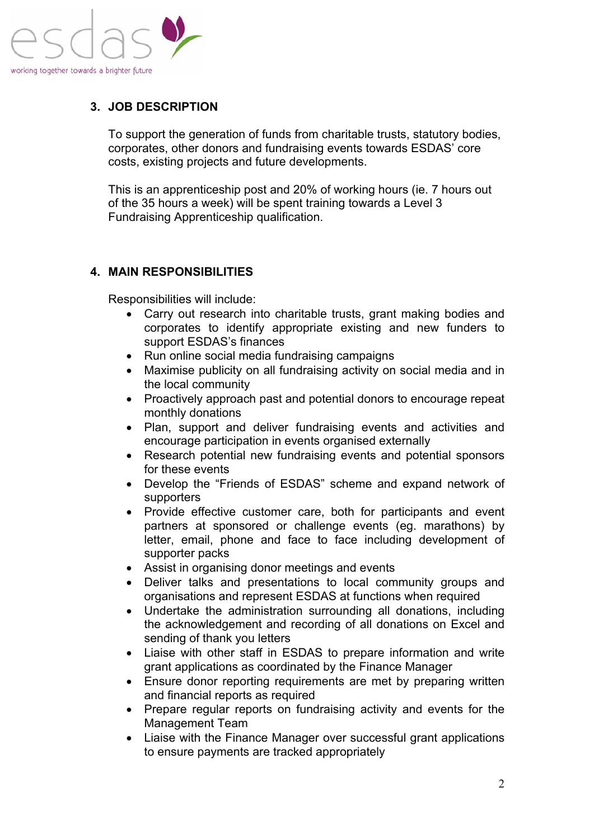

# **3. JOB DESCRIPTION**

To support the generation of funds from charitable trusts, statutory bodies, corporates, other donors and fundraising events towards ESDAS' core costs, existing projects and future developments.

This is an apprenticeship post and 20% of working hours (ie. 7 hours out of the 35 hours a week) will be spent training towards a Level 3 Fundraising Apprenticeship qualification.

## **4. MAIN RESPONSIBILITIES**

Responsibilities will include:

- Carry out research into charitable trusts, grant making bodies and corporates to identify appropriate existing and new funders to support ESDAS's finances
- Run online social media fundraising campaigns
- Maximise publicity on all fundraising activity on social media and in the local community
- Proactively approach past and potential donors to encourage repeat monthly donations
- Plan, support and deliver fundraising events and activities and encourage participation in events organised externally
- Research potential new fundraising events and potential sponsors for these events
- Develop the "Friends of ESDAS" scheme and expand network of supporters
- Provide effective customer care, both for participants and event partners at sponsored or challenge events (eg. marathons) by letter, email, phone and face to face including development of supporter packs
- Assist in organising donor meetings and events
- Deliver talks and presentations to local community groups and organisations and represent ESDAS at functions when required
- Undertake the administration surrounding all donations, including the acknowledgement and recording of all donations on Excel and sending of thank you letters
- Liaise with other staff in ESDAS to prepare information and write grant applications as coordinated by the Finance Manager
- Ensure donor reporting requirements are met by preparing written and financial reports as required
- Prepare regular reports on fundraising activity and events for the Management Team
- Liaise with the Finance Manager over successful grant applications to ensure payments are tracked appropriately